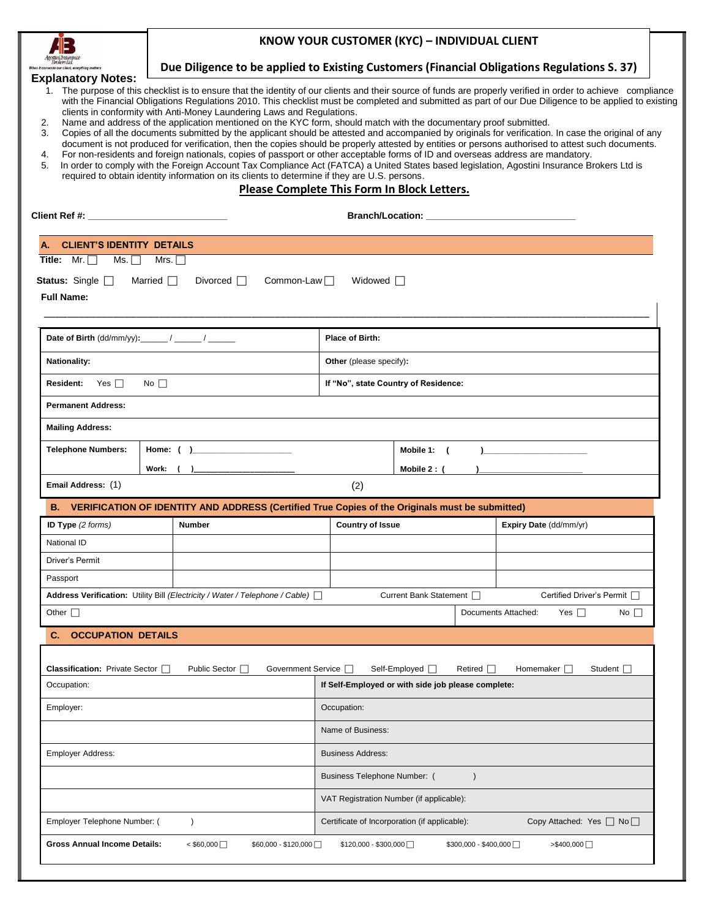

## **KNOW YOUR CUSTOMER (KYC) – INDIVIDUAL CLIENT**

| 120120-251204<br>Vhen it comes to our client, everything matters |                                                                                                                                                                                                                                  |                                             |                                                    |                          |                | Due Diligence to be applied to Existing Customers (Financial Obligations Regulations S. 37)                                                                                                                                                                                                                                                                                                                                                               |  |
|------------------------------------------------------------------|----------------------------------------------------------------------------------------------------------------------------------------------------------------------------------------------------------------------------------|---------------------------------------------|----------------------------------------------------|--------------------------|----------------|-----------------------------------------------------------------------------------------------------------------------------------------------------------------------------------------------------------------------------------------------------------------------------------------------------------------------------------------------------------------------------------------------------------------------------------------------------------|--|
| <b>Explanatory Notes:</b><br>2.                                  | clients in conformity with Anti-Money Laundering Laws and Regulations.<br>Name and address of the application mentioned on the KYC form, should match with the documentary proof submitted.                                      |                                             |                                                    |                          |                | 1. The purpose of this checklist is to ensure that the identity of our clients and their source of funds are properly verified in order to achieve compliance<br>with the Financial Obligations Regulations 2010. This checklist must be completed and submitted as part of our Due Diligence to be applied to existing                                                                                                                                   |  |
| 3.<br>4.<br>5.                                                   | For non-residents and foreign nationals, copies of passport or other acceptable forms of ID and overseas address are mandatory.<br>required to obtain identity information on its clients to determine if they are U.S. persons. |                                             |                                                    |                          |                | Copies of all the documents submitted by the applicant should be attested and accompanied by originals for verification. In case the original of any<br>document is not produced for verification, then the copies should be properly attested by entities or persons authorised to attest such documents.<br>In order to comply with the Foreign Account Tax Compliance Act (FATCA) a United States based legislation, Agostini Insurance Brokers Ltd is |  |
|                                                                  |                                                                                                                                                                                                                                  | Please Complete This Form In Block Letters. |                                                    |                          |                |                                                                                                                                                                                                                                                                                                                                                                                                                                                           |  |
|                                                                  |                                                                                                                                                                                                                                  |                                             |                                                    |                          |                |                                                                                                                                                                                                                                                                                                                                                                                                                                                           |  |
| A. CLIENT'S IDENTITY DETAILS                                     |                                                                                                                                                                                                                                  |                                             |                                                    |                          |                |                                                                                                                                                                                                                                                                                                                                                                                                                                                           |  |
| Title: $Mr. \Box$<br>Ms. $\Box$                                  | Mrs. $\Box$                                                                                                                                                                                                                      |                                             |                                                    |                          |                |                                                                                                                                                                                                                                                                                                                                                                                                                                                           |  |
| <b>Status:</b> Single $\Box$<br><b>Full Name:</b>                | Married $\Box$<br>Divorced $\Box$                                                                                                                                                                                                | Common-Law $\Box$                           | Widowed $\Box$                                     |                          |                |                                                                                                                                                                                                                                                                                                                                                                                                                                                           |  |
|                                                                  |                                                                                                                                                                                                                                  |                                             | <b>Place of Birth:</b>                             |                          |                |                                                                                                                                                                                                                                                                                                                                                                                                                                                           |  |
| <b>Nationality:</b>                                              |                                                                                                                                                                                                                                  |                                             | Other (please specify):                            |                          |                |                                                                                                                                                                                                                                                                                                                                                                                                                                                           |  |
| <b>Resident:</b><br>Yes $\Box$                                   | No $\Box$                                                                                                                                                                                                                        |                                             | If "No", state Country of Residence:               |                          |                |                                                                                                                                                                                                                                                                                                                                                                                                                                                           |  |
| <b>Permanent Address:</b>                                        |                                                                                                                                                                                                                                  |                                             |                                                    |                          |                |                                                                                                                                                                                                                                                                                                                                                                                                                                                           |  |
| <b>Mailing Address:</b>                                          |                                                                                                                                                                                                                                  |                                             |                                                    |                          |                |                                                                                                                                                                                                                                                                                                                                                                                                                                                           |  |
| <b>Telephone Numbers:</b>                                        |                                                                                                                                                                                                                                  |                                             | Mobile 1: (<br>$\mathbf{r}$                        |                          |                |                                                                                                                                                                                                                                                                                                                                                                                                                                                           |  |
|                                                                  | Work: $($ )                                                                                                                                                                                                                      |                                             | Mobile 2: (                                        |                          |                |                                                                                                                                                                                                                                                                                                                                                                                                                                                           |  |
| Email Address: (1)                                               |                                                                                                                                                                                                                                  |                                             | (2)                                                |                          |                |                                                                                                                                                                                                                                                                                                                                                                                                                                                           |  |
|                                                                  | B. VERIFICATION OF IDENTITY AND ADDRESS (Certified True Copies of the Originals must be submitted)                                                                                                                               |                                             |                                                    |                          |                |                                                                                                                                                                                                                                                                                                                                                                                                                                                           |  |
| ID Type (2 forms)                                                | <b>Number</b>                                                                                                                                                                                                                    |                                             | <b>Country of Issue</b>                            |                          |                | Expiry Date (dd/mm/yr)                                                                                                                                                                                                                                                                                                                                                                                                                                    |  |
| National ID                                                      |                                                                                                                                                                                                                                  |                                             |                                                    |                          |                |                                                                                                                                                                                                                                                                                                                                                                                                                                                           |  |
| Driver's Permit                                                  |                                                                                                                                                                                                                                  |                                             |                                                    |                          |                |                                                                                                                                                                                                                                                                                                                                                                                                                                                           |  |
| Passport                                                         |                                                                                                                                                                                                                                  |                                             |                                                    |                          |                |                                                                                                                                                                                                                                                                                                                                                                                                                                                           |  |
|                                                                  | <b>Address Verification:</b> Utility Bill (Electricity / Water / Telephone / Cable) $\Box$                                                                                                                                       |                                             |                                                    | Current Bank Statement □ |                | Certified Driver's Permit □                                                                                                                                                                                                                                                                                                                                                                                                                               |  |
| Other $\square$                                                  |                                                                                                                                                                                                                                  |                                             |                                                    |                          |                | Documents Attached:<br>Yes $\Box$<br>No $\Box$                                                                                                                                                                                                                                                                                                                                                                                                            |  |
| <b>OCCUPATION DETAILS</b><br>C.                                  |                                                                                                                                                                                                                                  |                                             |                                                    |                          |                |                                                                                                                                                                                                                                                                                                                                                                                                                                                           |  |
|                                                                  |                                                                                                                                                                                                                                  |                                             |                                                    |                          |                |                                                                                                                                                                                                                                                                                                                                                                                                                                                           |  |
| <b>Classification:</b> Private Sector                            | Public Sector $\Box$                                                                                                                                                                                                             | Government Service                          |                                                    | Self-Employed □          | Retired $\Box$ | Homemaker  <br>Student $\Box$                                                                                                                                                                                                                                                                                                                                                                                                                             |  |
| Occupation:                                                      |                                                                                                                                                                                                                                  |                                             | If Self-Employed or with side job please complete: |                          |                |                                                                                                                                                                                                                                                                                                                                                                                                                                                           |  |
| Employer:                                                        |                                                                                                                                                                                                                                  |                                             | Occupation:                                        |                          |                |                                                                                                                                                                                                                                                                                                                                                                                                                                                           |  |
|                                                                  |                                                                                                                                                                                                                                  |                                             | Name of Business:                                  |                          |                |                                                                                                                                                                                                                                                                                                                                                                                                                                                           |  |
|                                                                  |                                                                                                                                                                                                                                  |                                             |                                                    | <b>Business Address:</b> |                |                                                                                                                                                                                                                                                                                                                                                                                                                                                           |  |
|                                                                  |                                                                                                                                                                                                                                  |                                             |                                                    |                          |                |                                                                                                                                                                                                                                                                                                                                                                                                                                                           |  |
| <b>Employer Address:</b>                                         |                                                                                                                                                                                                                                  |                                             | Business Telephone Number: (                       |                          |                |                                                                                                                                                                                                                                                                                                                                                                                                                                                           |  |
|                                                                  |                                                                                                                                                                                                                                  |                                             | VAT Registration Number (if applicable):           |                          |                |                                                                                                                                                                                                                                                                                                                                                                                                                                                           |  |
| Employer Telephone Number: (                                     | $\lambda$                                                                                                                                                                                                                        |                                             | Certificate of Incorporation (if applicable):      |                          |                | Copy Attached: Yes $\Box$ No $\Box$                                                                                                                                                                                                                                                                                                                                                                                                                       |  |